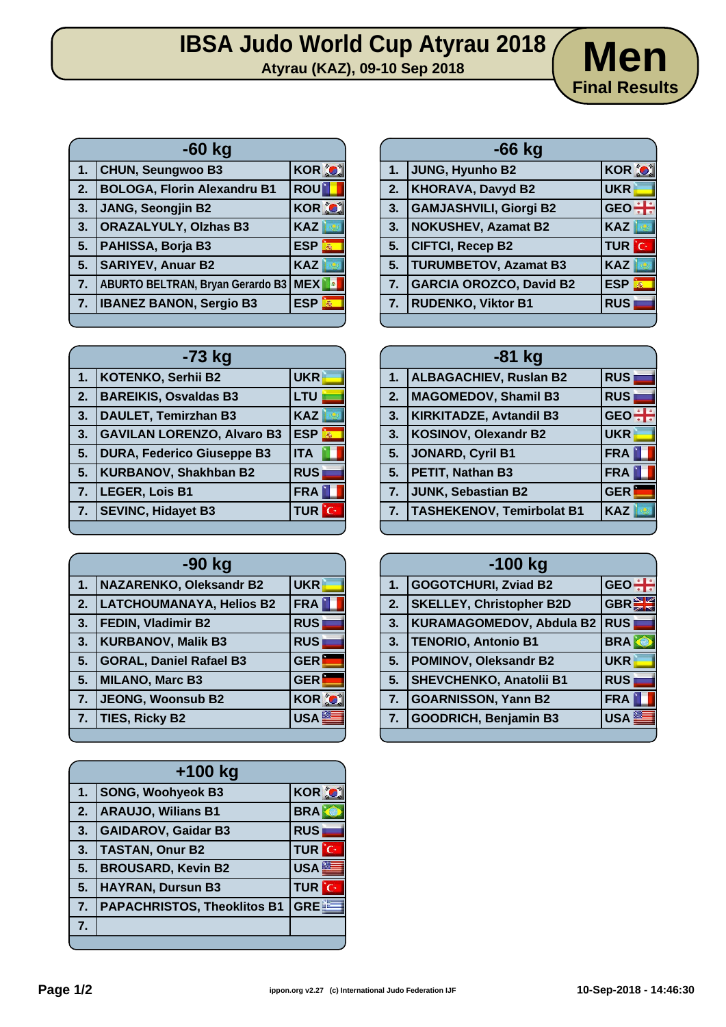# **IBSA Judo World Cup Atyrau 2018**<br>Atyrau (KAZ), 09-10 Sep 2018

**-60 kg 1.** CHUN, Seungwoo B3 KOR  $\bigcirc$ **2. BOLOGA, Florin Alexandru B1 ROU 3. JANG, Seongjin B2 KOR 3. ORAZALYULY, Olzhas B3 KAZ 5. PAHISSA, Borja B3 ESP 5. SARIYEV, Anuar B2 KAZ 7. ABURTO BELTRAN, Bryan Gerardo B3 MEX 7. IBANEZ BANON, Sergio B3 ESP** 

| $-73$ kg |                                   |                         |
|----------|-----------------------------------|-------------------------|
| 1.       | <b>KOTENKO, Serhii B2</b>         | <b>UKR</b>              |
| 2.       | <b>BAREIKIS, Osvaldas B3</b>      | <b>LTU</b>              |
| 3.       | <b>DAULET, Temirzhan B3</b>       | <b>KAZ</b>              |
| 3.       | <b>GAVILAN LORENZO, Alvaro B3</b> | <b>ESP</b><br>$\vec{m}$ |
| 5.       | <b>DURA, Federico Giuseppe B3</b> | <b>ITA</b>              |
| 5.       | <b>KURBANOV, Shakhban B2</b>      | <b>RUS</b>              |
| 7.       | LEGER, Lois B1                    | <b>FRA</b>              |
| 7.       | <b>SEVINC, Hidayet B3</b>         | îС,<br><b>TUR</b>       |
|          |                                   |                         |

| -90 kg         |                                 |              |
|----------------|---------------------------------|--------------|
| 1.             | <b>NAZARENKO, Oleksandr B2</b>  | <b>UKR</b>   |
| 2.             | <b>LATCHOUMANAYA, Helios B2</b> | <b>FRA</b>   |
| 3.             | FEDIN, Vladimir B2              | <b>RUS</b>   |
| 3.             | <b>KURBANOV, Malik B3</b>       | <b>RUS</b>   |
| 5.             | <b>GORAL, Daniel Rafael B3</b>  | <b>GER</b>   |
| 5 <sub>1</sub> | <b>MILANO, Marc B3</b>          | <b>GER</b>   |
| 7.             | <b>JEONG, Woonsub B2</b>        | <b>KOR O</b> |
| 7.             | <b>TIES, Ricky B2</b>           | <b>USA</b>   |
|                |                                 |              |

| $+100$ kg |                                    |                  |
|-----------|------------------------------------|------------------|
| 1.        | <b>SONG, Woohyeok B3</b>           | <b>KOR O</b>     |
| 2.        | <b>ARAUJO, Wilians B1</b>          | <b>BRA</b>       |
| 3.        | <b>GAIDAROV, Gaidar B3</b>         | <b>RUS</b>       |
| 3.        | <b>TASTAN, Onur B2</b>             | <b>TUR</b> C     |
| 5.        | <b>BROUSARD, Kevin B2</b>          | USA <sup>E</sup> |
| 5.        | <b>HAYRAN, Dursun B3</b>           | <b>TUR</b> C     |
| 7.        | <b>PAPACHRISTOS, Theoklitos B1</b> | GRE E            |
| 7.        |                                    |                  |
|           |                                    |                  |

|    | $-66$ kg                       |              |
|----|--------------------------------|--------------|
| 1. | JUNG, Hyunho B2                | <b>KOR O</b> |
| 2. | <b>KHORAVA, Davyd B2</b>       | <b>UKR</b>   |
| 3. | <b>GAMJASHVILI, Giorgi B2</b>  | $GEO \div$   |
| 3. | <b>NOKUSHEV, Azamat B2</b>     | <b>KAZ</b>   |
| 5. | <b>CIFTCI, Recep B2</b>        | <b>TUR</b> C |
| 5. | <b>TURUMBETOV, Azamat B3</b>   | <b>KAZ</b>   |
| 7. | <b>GARCIA OROZCO, David B2</b> | <b>ESP</b>   |
| 7. | <b>RUDENKO, Viktor B1</b>      | <b>RUS</b>   |
|    |                                |              |

**Final Results**

| $-81$ kg |                                  |            |
|----------|----------------------------------|------------|
| 1.       | <b>ALBAGACHIEV, Ruslan B2</b>    | <b>RUS</b> |
| 2.       | <b>MAGOMEDOV, Shamil B3</b>      | <b>RUS</b> |
| 3.       | <b>KIRKITADZE, Avtandil B3</b>   | <b>GEO</b> |
| 3.       | <b>KOSINOV, Olexandr B2</b>      | <b>UKR</b> |
| 5.       | JONARD, Cyril B1                 | <b>FRA</b> |
| 5.       | PETIT, Nathan B3                 | <b>FRA</b> |
| 7.       | JUNK, Sebastian B2               | <b>GER</b> |
| 7.       | <b>TASHEKENOV, Temirbolat B1</b> | <b>KAZ</b> |
|          |                                  |            |

| $-100$ kg |                                 |            |
|-----------|---------------------------------|------------|
| 1.        | <b>GOGOTCHURI, Zviad B2</b>     | <b>GEO</b> |
| 2.        | <b>SKELLEY, Christopher B2D</b> | <b>GBR</b> |
| 3.        | <b>KURAMAGOMEDOV, Abdula B2</b> | <b>RUS</b> |
| 3.        | <b>TENORIO, Antonio B1</b>      | <b>BRA</b> |
| 5.        | POMINOV, Oleksandr B2           | <b>UKR</b> |
| 5.        | <b>SHEVCHENKO, Anatolii B1</b>  | <b>RUS</b> |
| 7.        | <b>GOARNISSON, Yann B2</b>      | <b>FRA</b> |
| 7.        | <b>GOODRICH, Benjamin B3</b>    | <b>USA</b> |
|           |                                 |            |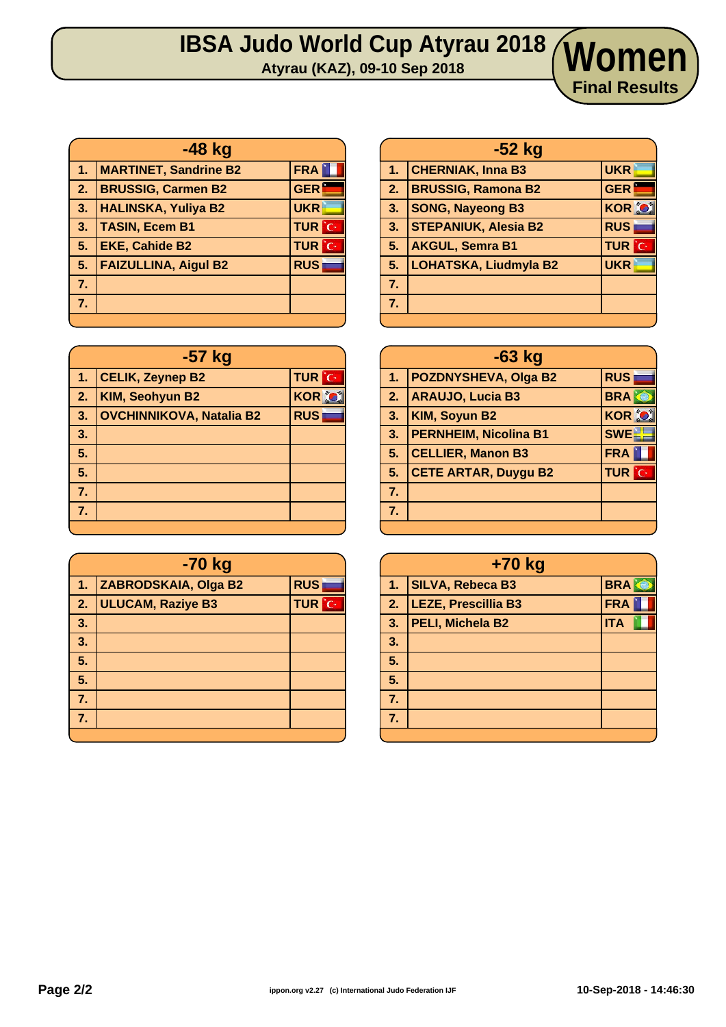# **IBSA Judo World Cup Atyrau 2018 Atyrau (KAZ), 09-10 Sep 2018 Women**

| -48 kg         |                              |              |
|----------------|------------------------------|--------------|
| 47             | <b>MARTINET, Sandrine B2</b> | <b>FRA</b>   |
| $\sqrt{2}$ .   | <b>BRUSSIG, Carmen B2</b>    | <b>GER</b>   |
| 3.             | <b>HALINSKA, Yuliya B2</b>   | <b>UKR</b>   |
| 3.             | <b>TASIN, Ecem B1</b>        | <b>TUR</b> C |
| 5.             | <b>EKE, Cahide B2</b>        | <b>TUR</b> C |
| 5.             | <b>FAIZULLINA, Aigul B2</b>  | <b>RUS</b>   |
| 7 <sub>1</sub> |                              |              |
| 7.             |                              |              |
|                |                              |              |

| -57 kg |                                 |               |
|--------|---------------------------------|---------------|
| 1.     | <b>CELIK, Zeynep B2</b>         | <b>TUR</b> C  |
| 2.     | <b>KIM, Seohyun B2</b>          | <b>KOR OF</b> |
| 3.     | <b>OVCHINNIKOVA, Natalia B2</b> | <b>RUS</b>    |
| 3.     |                                 |               |
| 5.     |                                 |               |
| 5.     |                                 |               |
| 7.     |                                 |               |
| 7.     |                                 |               |
|        |                                 |               |

| -70 kg |                          |              |
|--------|--------------------------|--------------|
| 1.     | ZABRODSKAIA, Olga B2     | <b>RUS</b>   |
| 2.     | <b>ULUCAM, Raziye B3</b> | <b>TUR</b> C |
| 3.     |                          |              |
| 3.     |                          |              |
| 5.     |                          |              |
| 5.     |                          |              |
| 7.     |                          |              |
| 7.     |                          |              |
|        |                          |              |

| $-52$ kg       |                              |               |
|----------------|------------------------------|---------------|
| 1 <sub>1</sub> | <b>CHERNIAK, Inna B3</b>     | <b>UKR</b>    |
| $\mathbf{2}$ . | <b>BRUSSIG, Ramona B2</b>    | <b>GER</b>    |
| 3.             | <b>SONG, Nayeong B3</b>      | <b>KOR OF</b> |
| 3.             | <b>STEPANIUK, Alesia B2</b>  | <b>RUS</b>    |
| 5.             | <b>AKGUL, Semra B1</b>       | <b>TUR</b> C  |
| 5.             | <b>LOHATSKA, Liudmyla B2</b> | <b>UKR</b>    |
| 7.             |                              |               |
| 7.             |                              |               |
|                |                              |               |

**Final Results**

| $-63$ kg |                              |               |
|----------|------------------------------|---------------|
| 1.       | <b>POZDNYSHEVA, Olga B2</b>  | <b>RUS</b>    |
| 2.       | <b>ARAUJO, Lucia B3</b>      | <b>BRA</b>    |
| 3.       | KIM, Soyun B2                | <b>KOR OF</b> |
| 3.       | <b>PERNHEIM, Nicolina B1</b> | <b>SWE</b>    |
| 5.       | <b>CELLIER, Manon B3</b>     | <b>FRA</b>    |
| 5.       | <b>CETE ARTAR, Duygu B2</b>  | <b>TUR</b> C  |
| 7.       |                              |               |
| 7.       |                              |               |
|          |                              |               |

| +70 kg |                         |            |
|--------|-------------------------|------------|
| 1.     | <b>SILVA, Rebeca B3</b> | <b>BRA</b> |
| 2.     | LEZE, Prescillia B3     | <b>FRA</b> |
| 3.     | PELI, Michela B2        | <b>ITA</b> |
| 3.     |                         |            |
| 5.     |                         |            |
| 5.     |                         |            |
| 7.     |                         |            |
| 7.     |                         |            |
|        |                         |            |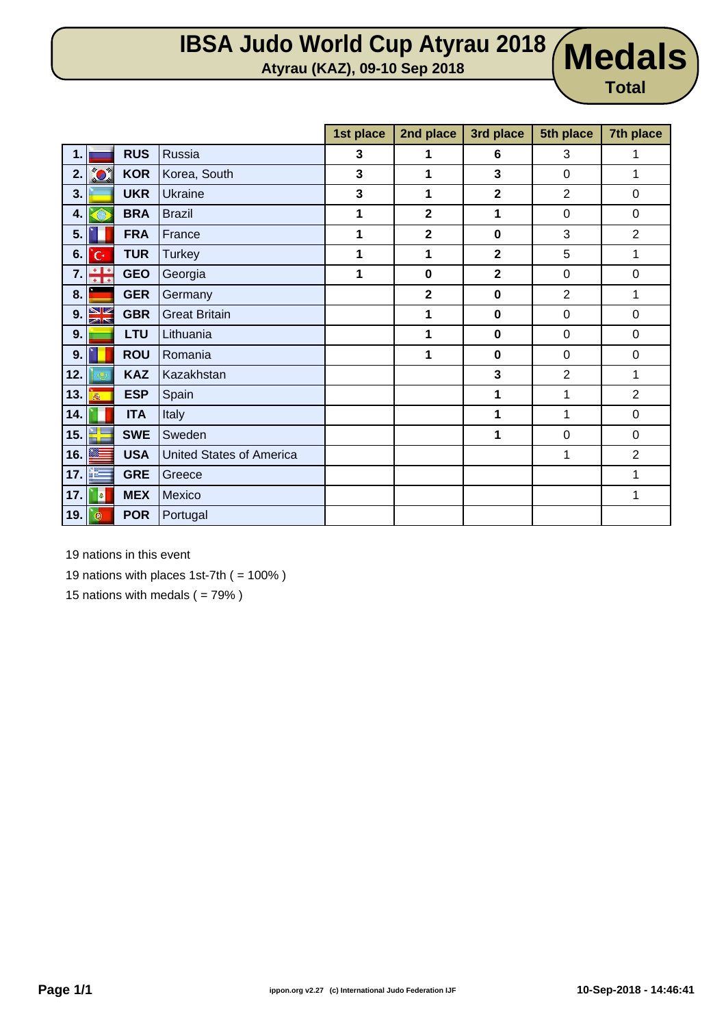## **IBSA Judo World Cup Atyrau 2018 Atyrau (KAZ), 09-10 Sep 2018 Medals**

**Total**

|     |              |            |                                 | 1st place   | 2nd place               | 3rd place      | 5th place        | 7th place        |
|-----|--------------|------------|---------------------------------|-------------|-------------------------|----------------|------------------|------------------|
| 1.1 |              | <b>RUS</b> | Russia                          | 3           | 1                       | 6              | 3                | 1                |
| 2.  | $\bullet$    | <b>KOR</b> | Korea, South                    | $\mathbf 3$ | 1                       | 3              | $\mathbf 0$      | 1                |
| 3.  |              | <b>UKR</b> | <b>Ukraine</b>                  | 3           | 1                       | $\overline{2}$ | $\overline{2}$   | $\boldsymbol{0}$ |
| 4.  | e            | <b>BRA</b> | <b>Brazil</b>                   | 1           | $\overline{2}$          | 1              | $\boldsymbol{0}$ | $\boldsymbol{0}$ |
| 5.  |              | <b>FRA</b> | France                          | 1           | $\mathbf 2$             | $\mathbf 0$    | 3                | $\overline{2}$   |
| 6.  | Ċ.           | <b>TUR</b> | <b>Turkey</b>                   | 1           | 1                       | $\overline{2}$ | 5                | 1                |
| 7.  | ÷            | <b>GEO</b> | Georgia                         | 1           | $\mathbf 0$             | $\overline{2}$ | $\mathbf 0$      | $\mathbf 0$      |
| 8.  |              | <b>GER</b> | Germany                         |             | $\overline{\mathbf{2}}$ | $\mathbf 0$    | $\overline{2}$   | 1                |
| 9.  | NK           | <b>GBR</b> | <b>Great Britain</b>            |             | 1                       | $\mathbf 0$    | $\mathbf 0$      | 0                |
| 9.  |              | <b>LTU</b> | Lithuania                       |             | 1                       | $\mathbf 0$    | $\boldsymbol{0}$ | 0                |
| 9.  |              | <b>ROU</b> | Romania                         |             | 1                       | $\mathbf 0$    | $\boldsymbol{0}$ | $\boldsymbol{0}$ |
| 12. |              | <b>KAZ</b> | Kazakhstan                      |             |                         | 3              | $\overline{2}$   | 1                |
| 13. | $\vec{m}_0$  | <b>ESP</b> | Spain                           |             |                         | 1              | 1                | $\overline{2}$   |
| 14. |              | <b>ITA</b> | Italy                           |             |                         | 1              | 1                | $\mathsf 0$      |
| 15. | 뫸            | <b>SWE</b> | Sweden                          |             |                         | 1              | $\boldsymbol{0}$ | $\boldsymbol{0}$ |
| 16. |              | <b>USA</b> | <b>United States of America</b> |             |                         |                | 1                | $\overline{2}$   |
| 17. |              | <b>GRE</b> | Greece                          |             |                         |                |                  | 1                |
| 17. | a            | <b>MEX</b> | Mexico                          |             |                         |                |                  | 1                |
| 19. | $^\circledR$ | <b>POR</b> | Portugal                        |             |                         |                |                  |                  |

19 nations in this event

19 nations with places 1st-7th  $( = 100\%)$ 

15 nations with medals  $( = 79\%)$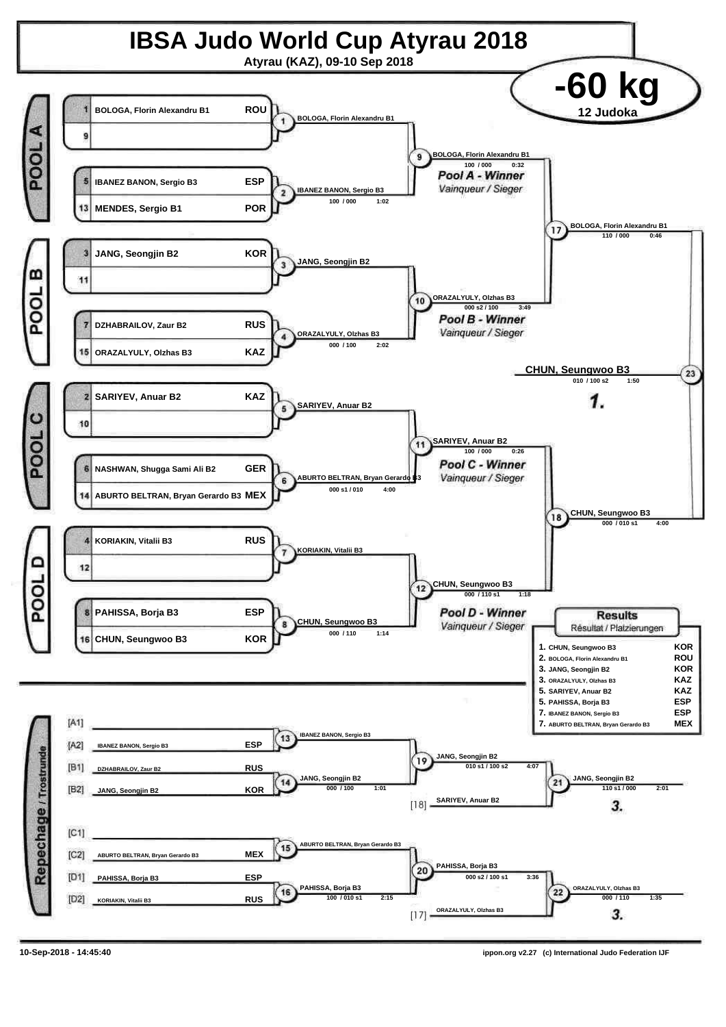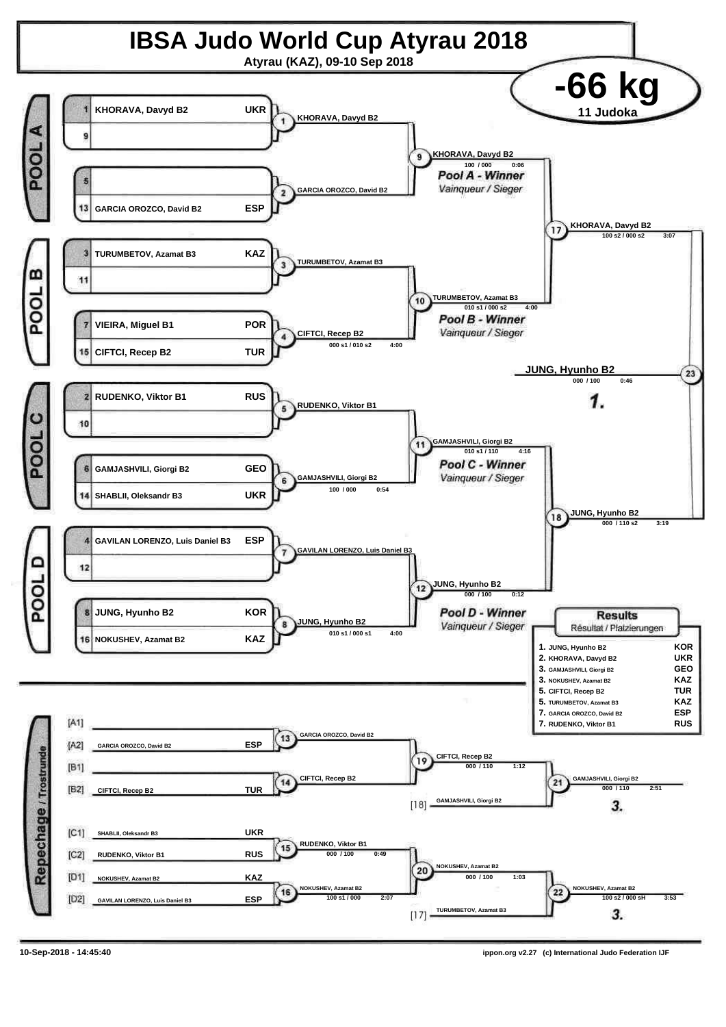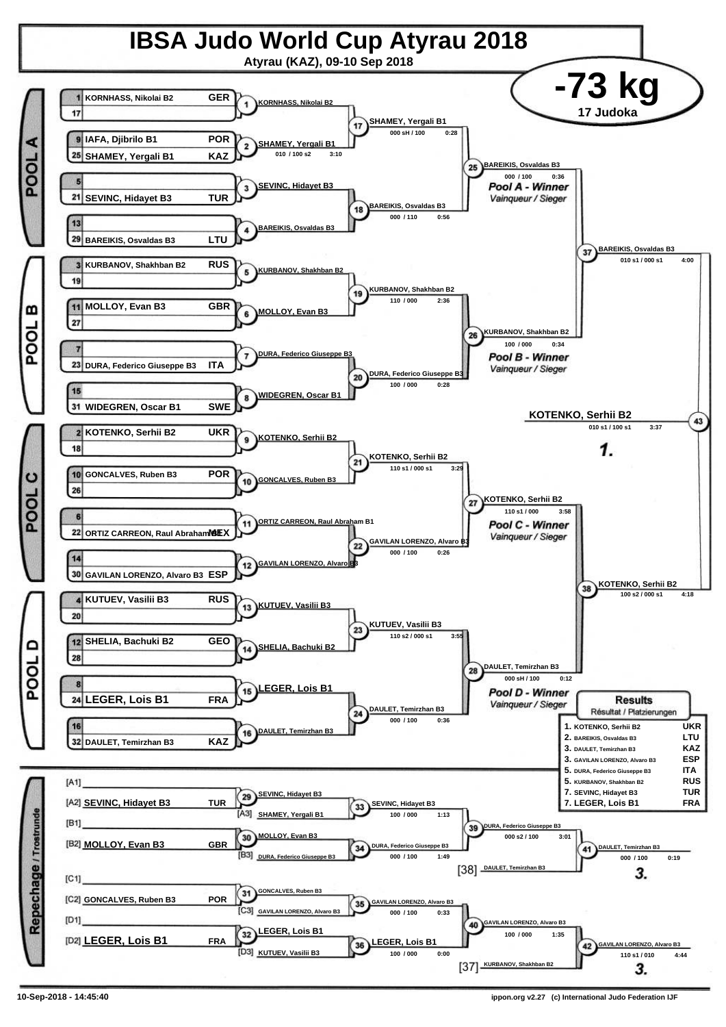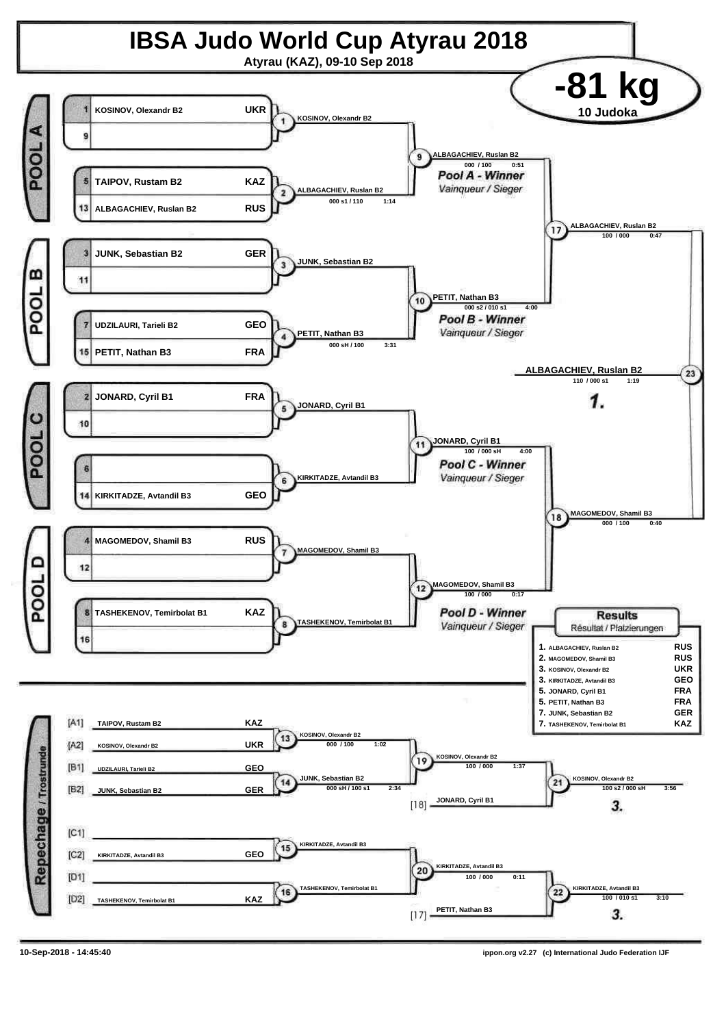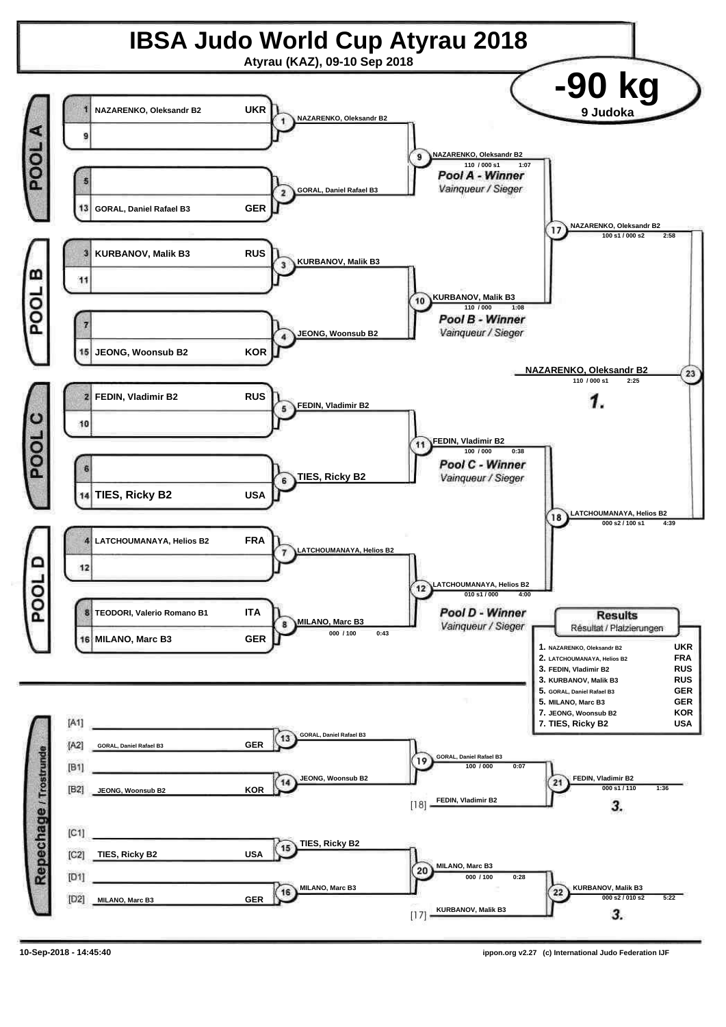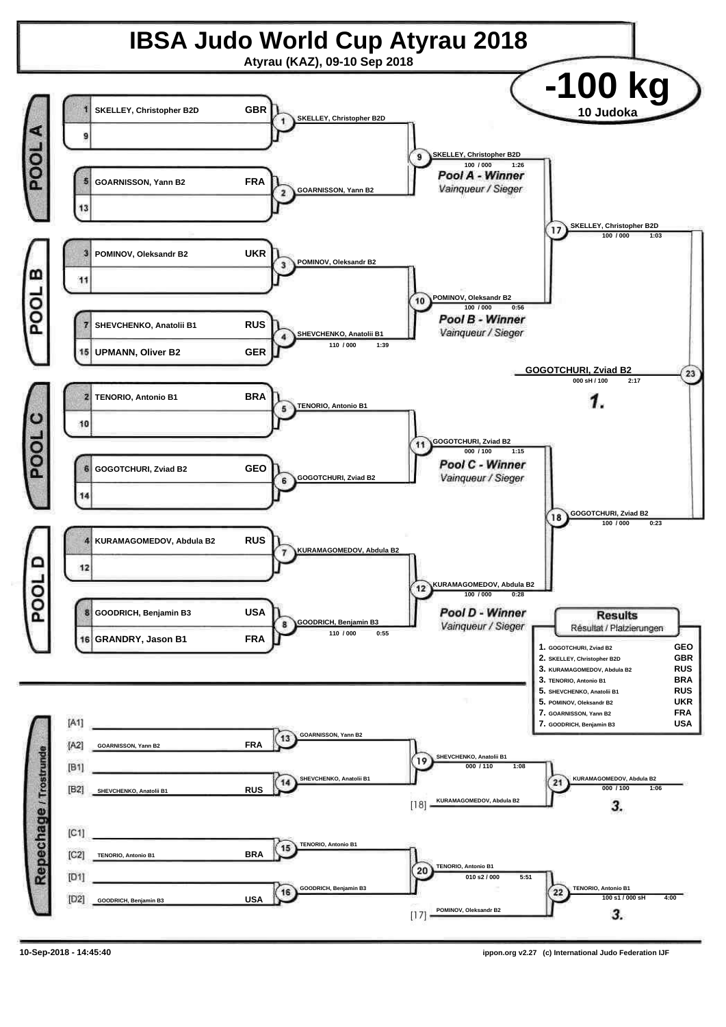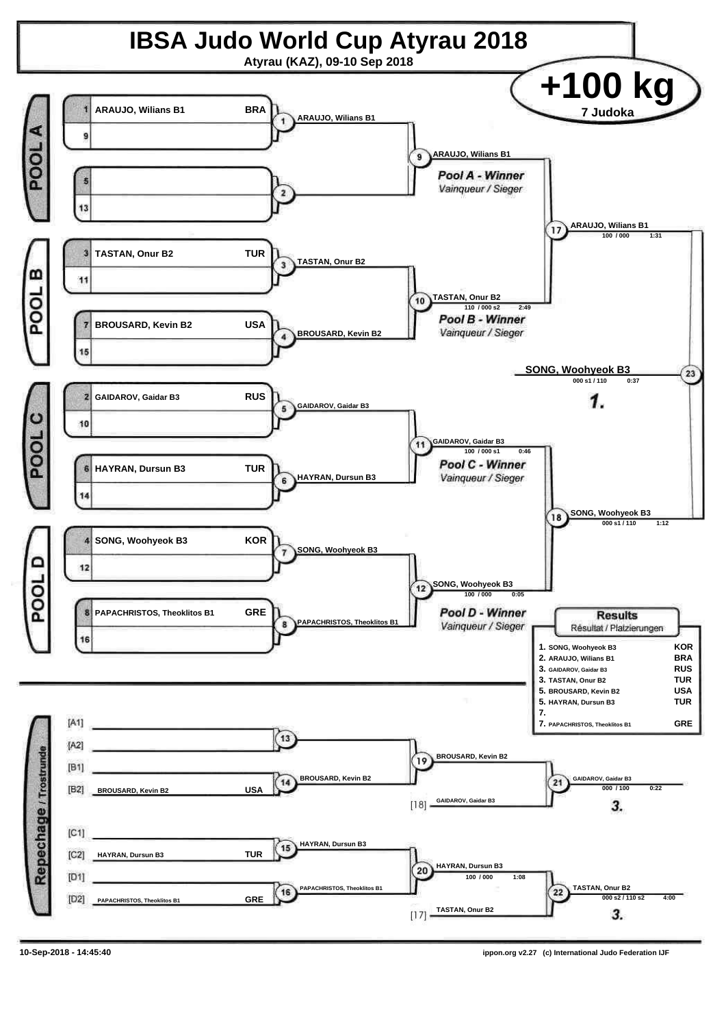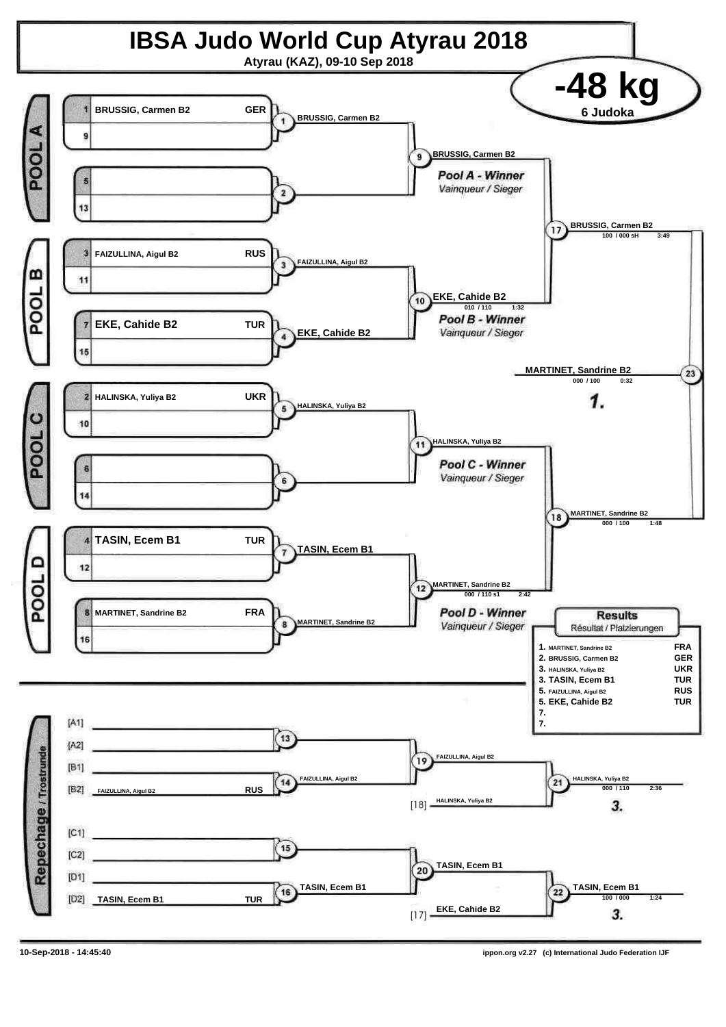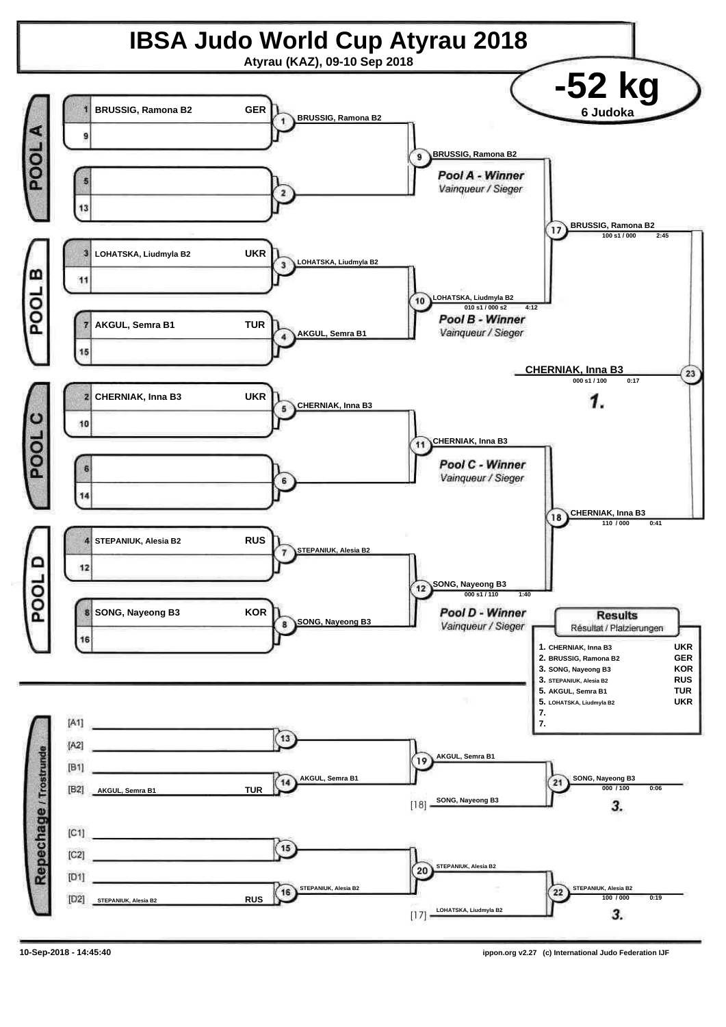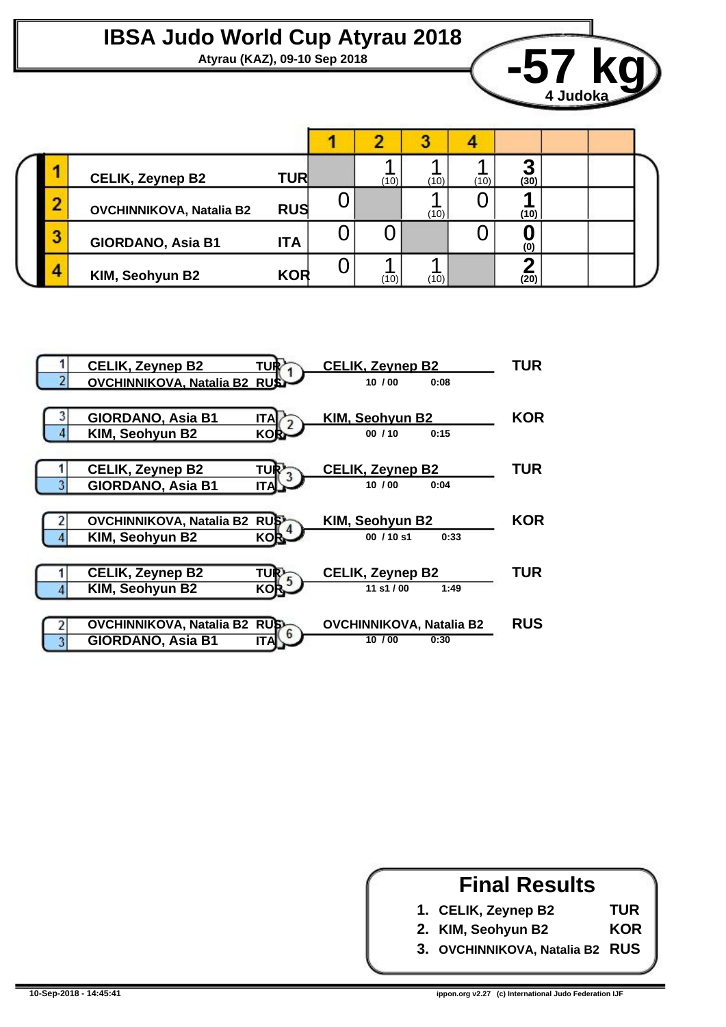#### **IBSA Judo World Cup Atyrau 2018**



|  | <b>CELIK, Zeynep B2</b>         | <b>TUR</b> |  | $(10)$ <sub>1</sub> | (10) | (10) | m<br>(30) |  |  |  |
|--|---------------------------------|------------|--|---------------------|------|------|-----------|--|--|--|
|  | <b>OVCHINNIKOVA, Natalia B2</b> | <b>RUS</b> |  |                     | (10) |      | (10)      |  |  |  |
|  | GIORDANO, Asia B1               | ITA        |  |                     |      |      | (0)       |  |  |  |
|  | KIM, Seohyun B2                 | <b>KOR</b> |  | (10)                | (10) |      | (20)      |  |  |  |



#### **Final Results**

**TUR KOR**

**1. CELIK, Zeynep B2**

**2. KIM, Seohyun B2**

**3. OVCHINNIKOVA, Natalia B2 RUS**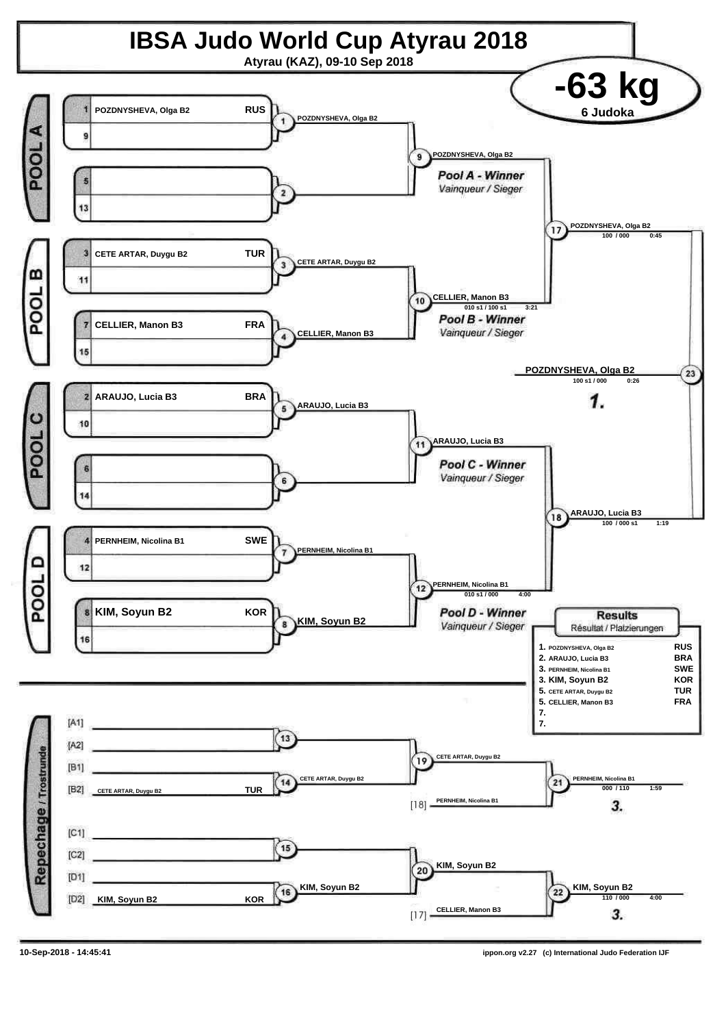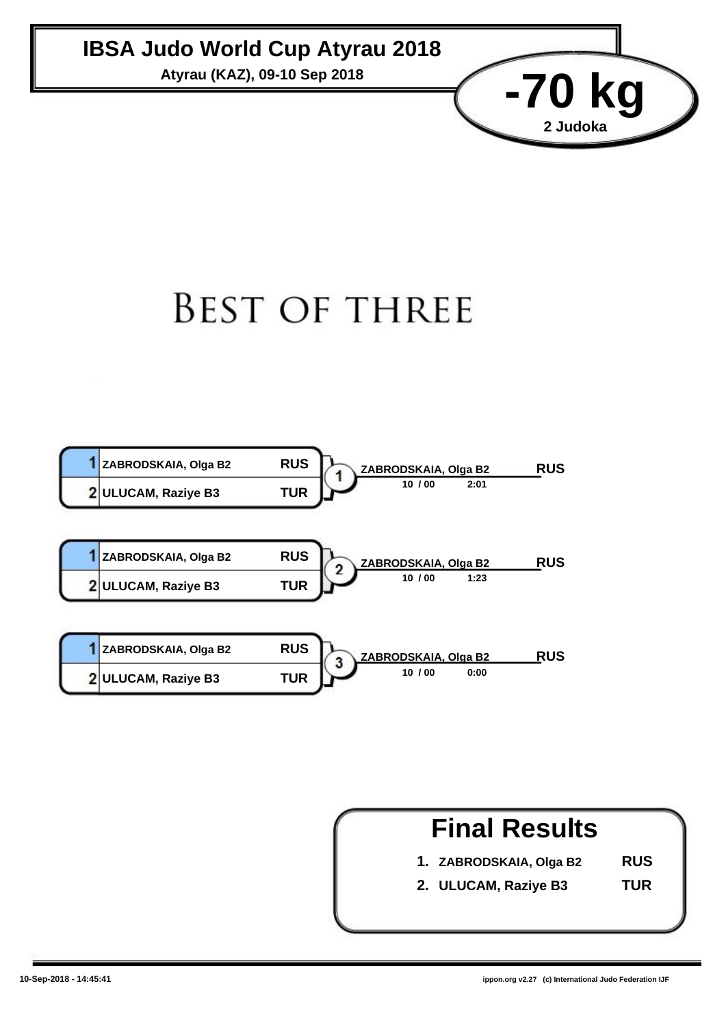#### **IBSA Judo World Cup Atyrau 2018**

Atyrau (KAZ), 09-10 Sep 2018<br>**-70 kg** 

### **BEST OF THREE**





**2 Judoka**